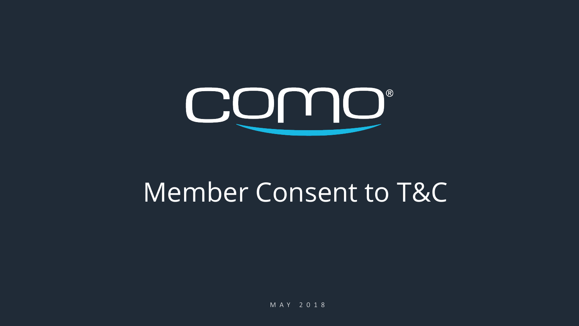

# Member Consent to T&C

M A Y 2018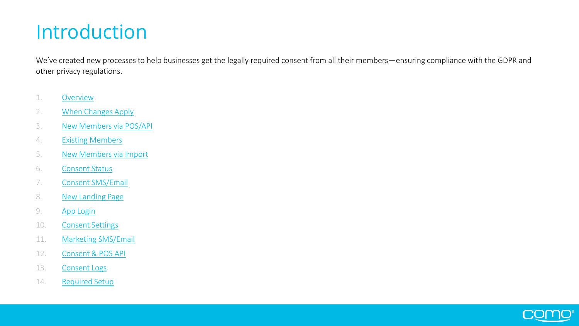### Introduction

We've created new processes to help businesses get the legally required consent from all their members—ensuring compliance with the GDPR and other privacy regulations.

- 1. [Overview](#page-2-0)
- 2. [When Changes Apply](#page-4-0)
- 3. [New Members via POS/API](#page-5-0)
- 4. [Existing Members](#page-7-0)
- 5. [New Members via Import](#page-9-0)
- 6. [Consent Status](#page-11-0)
- 7. [Consent SMS/Email](#page-13-0)
- 8. [New Landing Page](#page-14-0)
- 9. [App Login](#page-15-0)
- 10. [Consent Settings](#page-16-0)
- 11. [Marketing SMS/Email](#page-17-0)
- 12. [Consent & POS API](#page-18-0)
- 13. [Consent Logs](#page-19-0)
- 14. [Required Setup](#page-20-0)

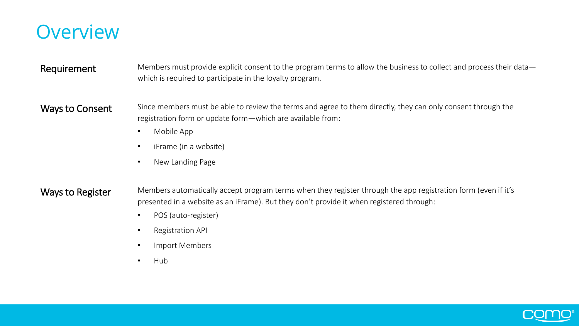<span id="page-2-0"></span>

#### Requirement Members must provide explicit consent to the program terms to allow the business to collect and process their datawhich is required to participate in the loyalty program.

Ways to Consent Since members must be able to review the terms and agree to them directly, they can only consent through the registration form or update form—which are available from:

- Mobile App
- iFrame (in a website)
- New Landing Page

Ways to Register Members automatically accept program terms when they register through the app registration form (even if it's presented in a website as an iFrame). But they don't provide it when registered through:

- POS (auto-register)
- Registration API
- Import Members
- Hub

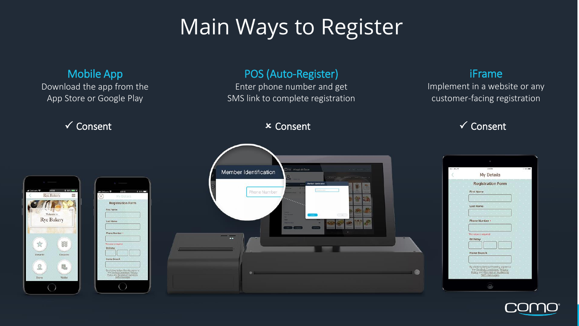# Main Ways to Register



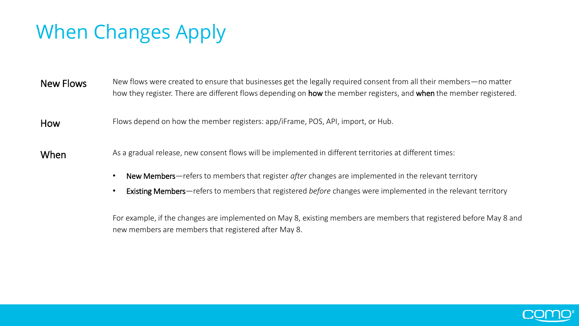## <span id="page-4-0"></span>When Changes Apply

New Flows New flows were created to ensure that businesses get the legally required consent from all their members—no matter how they register. There are different flows depending on **how** the member registers, and when the member registered.

How Flows depend on how the member registers: app/iFrame, POS, API, import, or Hub.

When As a gradual release, new consent flows will be implemented in different territories at different times:

- New Members—refers to members that register *after* changes are implemented in the relevant territory
- Existing Members—refers to members that registered *before* changes were implemented in the relevant territory

For example, if the changes are implemented on May 8, existing members are members that registered before May 8 and new members are members that registered after May 8.

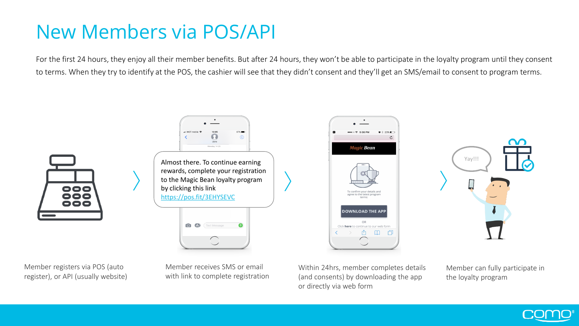### <span id="page-5-0"></span>New Members via POS/API

For the first 24 hours, they enjoy all their member benefits. But after 24 hours, they won't be able to participate in the loyalty program until they consent to terms. When they try to identify at the POS, the cashier will see that they didn't consent and they'll get an SMS/email to consent to program terms.



Member registers via POS (auto register), or API (usually website)



Almost there. To continue earning  $\overline{a}$  and  $\overline{a}$  and  $\overline{a}$  and  $\overline{a}$  and  $\overline{a}$  and  $\overline{a}$  and  $\overline{a}$  and  $\overline{a}$  and  $\overline{a}$  and  $\overline{a}$  and  $\overline{a}$  and  $\overline{a}$  and  $\overline{a}$  and  $\overline{a}$  and  $\overline{$ rewards, complete your registration to the Magic Bean loyalty program by clicking this link https://pos.fit/3EHYSEVC



Member receives SMS or email with link to complete registration Within 24hrs, member completes details (and consents) by downloading the app or directly via web form

 $\bullet \bullet \circ \circ \approx 5:36 \text{ PM}$ 

**Magic Bean** 

To confirm your details and

agree to the latest progran

**DOWNLOAD THE APP** 

Click here to continue to our web form Γħ.

m 门

 $\bullet$  \* 23%

 $\mathcal{C}_{\mathcal{L}}$ 



Member can fully participate in the loyalty program

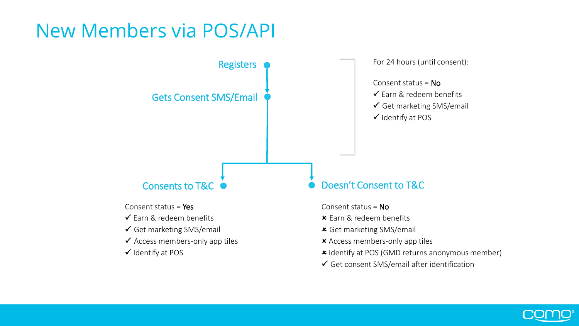### New Members via POS/API



- 
- $\checkmark$  Farn & redeem benefits
- Get marketing SMS/email
- $\checkmark$  Access members-only app tiles
- $\checkmark$  Identify at POS
- Consent status =  $No$
- $x$  Farn & redeem benefits
- Get marketing SMS/email
- Access members-only app tiles
- **x** Identify at POS (GMD returns anonymous member)
- $\checkmark$  Get consent SMS/email after identification

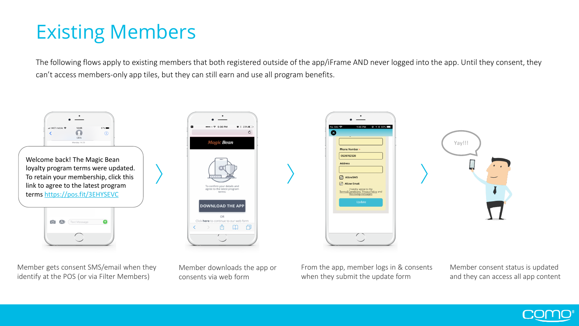### <span id="page-7-0"></span>Existing Members

The following flows apply to existing members that both registered outside of the app/iFrame AND never logged into the app. Until they consent, they can't access members-only app tiles, but they can still earn and use all program benefits.



Member gets consent SMS/email when they identify at the POS (or via Filter Members)

Member downloads the app or consents via web form

From the app, member logs in & consents when they submit the update form

Member consent status is updated and they can access all app content

Yay!!!

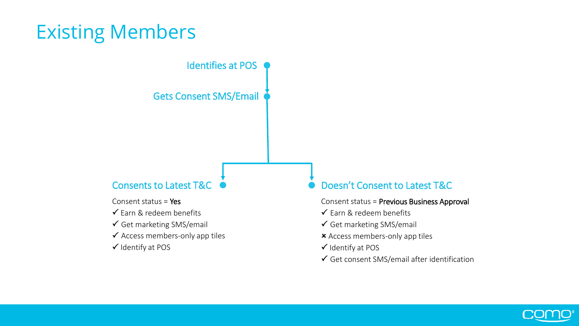### Existing Members

Identifies at POS

Gets Consent SMS/Email

Consent status =  $Yes$ 

- $\checkmark$  Farn & redeem benefits
- $\checkmark$  Get marketing SMS/email
- $\checkmark$  Access members-only app tiles
- $\checkmark$  Identify at POS

#### Consents to Latest T&C ● Doesn't Consent to Latest T&C

Consent status = Previous Business Approval

- $\checkmark$  Earn & redeem benefits
- $\checkmark$  Get marketing SMS/email
- Access members-only app tiles
- $\checkmark$  Identify at POS
- $\checkmark$  Get consent SMS/email after identification

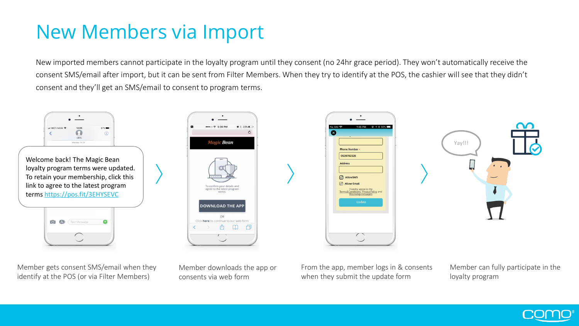### <span id="page-9-0"></span>New Members via Import

New imported members cannot participate in the loyalty program until they consent (no 24hr grace period). They won't automatically receive the consent SMS/email after import, but it can be sent from Filter Members. When they try to identify at the POS, the cashier will see that they didn't consent and they'll get an SMS/email to consent to program terms.



Member gets consent SMS/email when they identify at the POS (or via Filter Members)

Member downloads the app or consents via web form

From the app, member logs in & consents when they submit the update form

Member can fully participate in the loyalty program

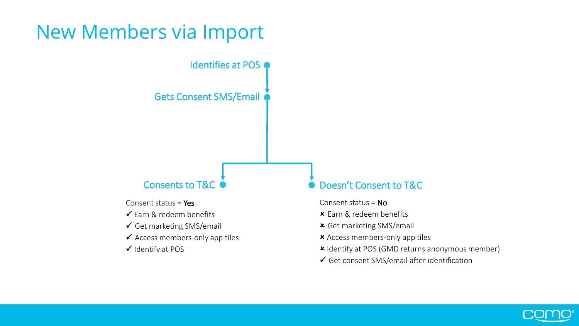### New Members via Import

Identifies at POS

Gets Consent SMS/Email

Consent status =  $Yes$ 

- $\checkmark$  Farn & redeem benefits
- Get marketing SMS/email
- $\checkmark$  Access members-only app tiles
- $\checkmark$  Identify at POS

#### Consents to T&C  $\bullet$  Doesn't Consent to T&C

- Consent status =  $No$
- $x$  Farn & redeem benefits
- Get marketing SMS/email
- Access members-only app tiles
- **x** Identify at POS (GMD returns anonymous member)
- $\checkmark$  Get consent SMS/email after identification

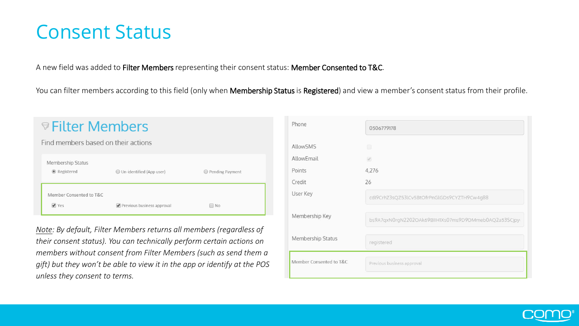#### <span id="page-11-0"></span>Consent Status

A new field was added to Filter Members representing their consent status: Member Consented to T&C.

You can filter members according to this field (only when Membership Status is Registered) and view a member's consent status from their profile.

| $\triangledown$ Filter Members      |                                             |                   |  |  |  |
|-------------------------------------|---------------------------------------------|-------------------|--|--|--|
| Find members based on their actions |                                             |                   |  |  |  |
| Membership Status<br>● Registered   | ◯ Un-identified (App user)                  | ◯ Pending Payment |  |  |  |
| Member Consented to T&C<br>Yes      | $\triangleright$ Previous business approval | $\Box$ No         |  |  |  |

*Note: By default, Filter Members returns all members (regardless of their consent status). You can technically perform certain actions on members without consent from Filter Members (such as send them a gift) but they won't be able to view it in the app or identify at the POS unless they consent to terms.* 

| Phone                   | 0506779178                                           |  |
|-------------------------|------------------------------------------------------|--|
| <b>AllowSMS</b>         | $\Box$                                               |  |
| AllowEmail              | $\omega$                                             |  |
| Points                  | 4,276                                                |  |
| Credit                  | 26                                                   |  |
| User Key                | cdl9CrhZ3sQZ53lCv5BtOfrPnGlGDs9CYZTH9Cw4g88          |  |
| Membership Key          | bs9A7qxN0rgN2202OAk69BIIH1Xs07ms9D9DMmeb0AQ2a53SCjpy |  |
| Membership Status       | registered                                           |  |
| Member Consented to T&C | Previous business approval                           |  |

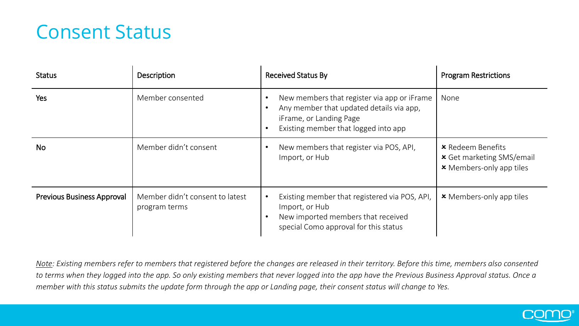### Consent Status

| <b>Status</b>                     | <b>Description</b>                               | <b>Received Status By</b>                                                                                                                                  | <b>Program Restrictions</b>                                                                     |
|-----------------------------------|--------------------------------------------------|------------------------------------------------------------------------------------------------------------------------------------------------------------|-------------------------------------------------------------------------------------------------|
| Yes                               | Member consented                                 | New members that register via app or iFrame<br>Any member that updated details via app,<br>iFrame, or Landing Page<br>Existing member that logged into app | None                                                                                            |
| <b>No</b>                         | Member didn't consent                            | New members that register via POS, API,<br>Import, or Hub                                                                                                  | <b>*</b> Redeem Benefits<br><b>x</b> Get marketing SMS/email<br><b>x</b> Members-only app tiles |
| <b>Previous Business Approval</b> | Member didn't consent to latest<br>program terms | Existing member that registered via POS, API,<br>Import, or Hub<br>New imported members that received<br>special Como approval for this status             | <b>x</b> Members-only app tiles                                                                 |

*Note: Existing members refer to members that registered before the changes are released in their territory. Before this time, members also consented to terms when they logged into the app. So only existing members that never logged into the app have the Previous Business Approval status. Once a member with this status submits the update form through the app or Landing page, their consent status will change to Yes.*

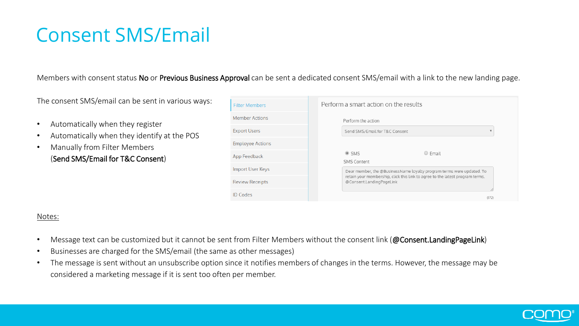### <span id="page-13-0"></span>Consent SMS/Email

#### Members with consent status No or Previous Business Approval can be sent a dedicated consent SMS/email with a link to the new landing page.

The consent SMS/email can be sent in various ways:

- Automatically when they register
- Automatically when they identify at the POS
- Manually from Filter Members (Send SMS/Email for T&C Consent)

| <b>Filter Members</b>   | Perform a smart action on the results                                                                     |
|-------------------------|-----------------------------------------------------------------------------------------------------------|
| <b>Member Actions</b>   | Perform the action                                                                                        |
| <b>Export Users</b>     | Send SMS/Email for T&C Consent                                                                            |
| <b>Employee Actions</b> |                                                                                                           |
| App Feedback            | $\odot$ SMS<br>$\bigcirc$ Fmail<br><b>SMS Content</b>                                                     |
| Import User Keys        | Dear member, the @BusinessName loyalty program terms were updated. To                                     |
| <b>Review Receipts</b>  | retain your membership, click this link to agree to the latest program terms.<br>@Consent.LandingPageLink |
| <b>ID Codes</b>         | (172)                                                                                                     |

#### Notes:

- Message text can be customized but it cannot be sent from Filter Members without the consent link (@Consent.LandingPageLink)
- Businesses are charged for the SMS/email (the same as other messages)
- The message is sent without an unsubscribe option since it notifies members of changes in the terms. However, the message may be considered a marketing message if it is sent too often per member.

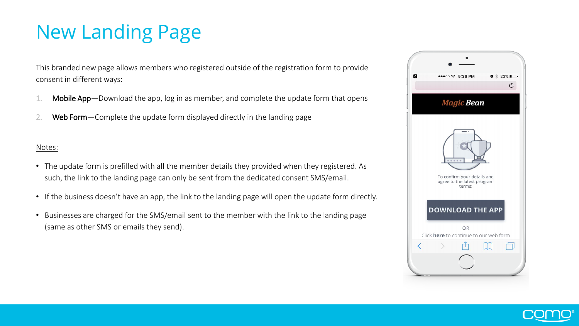## <span id="page-14-0"></span>New Landing Page

This branded new page allows members who registered outside of the registration form to provide consent in different ways:

- Mobile App—Download the app, log in as member, and complete the update form that opens
- 2. Web Form—Complete the update form displayed directly in the landing page

#### Notes:

- The update form is prefilled with all the member details they provided when they registered. As such, the link to the landing page can only be sent from the dedicated consent SMS/email.
- If the business doesn't have an app, the link to the landing page will open the update form directly.
- Businesses are charged for the SMS/email sent to the member with the link to the landing page (same as other SMS or emails they send).



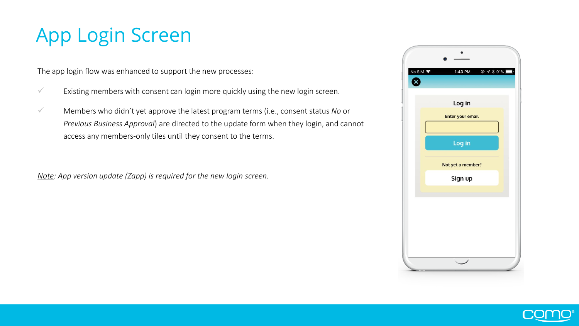### <span id="page-15-0"></span>App Login Screen

The app login flow was enhanced to support the new processes:

- $\checkmark$  Existing members with consent can login more quickly using the new login screen.
- ✓ Members who didn't yet approve the latest program terms (i.e., consent status *No* or *Previous Business Approval*) are directed to the update form when they login, and cannot access any members-only tiles until they consent to the terms.

*Note: App version update (Zapp) is required for the new login screen.*



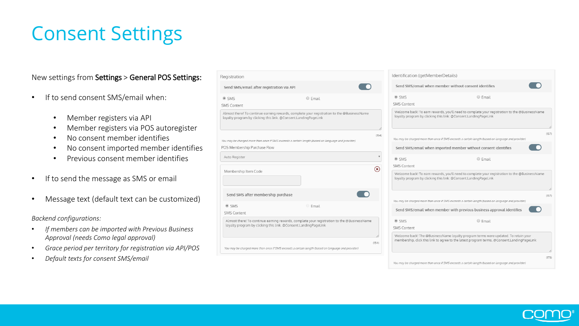### <span id="page-16-0"></span>Consent Settings

#### New settings from Settings > General POS Settings:

- If to send consent SMS/email when:
	- Member registers via API
	- Member registers via POS autoregister
	- No consent member identifies
	- No consent imported member identifies

- Previous consent member identifies
- If to send the message as SMS or email
- Message text (default text can be customized)

*Backend configurations:*

- *If members can be imported with Previous Business Approval (needs Como legal approval)*
- *Grace period per territory for registration via API/POS*
- *Default texts for consent SMS/email*

| Registration                                                                                                                                                  | Identification (getMemberDetails)                                                                                                                                                                       |
|---------------------------------------------------------------------------------------------------------------------------------------------------------------|---------------------------------------------------------------------------------------------------------------------------------------------------------------------------------------------------------|
| Send SMS/email after registration via API                                                                                                                     | Send SMS/email when member without consent identifies                                                                                                                                                   |
| $O$ Email<br>$\odot$ SMS                                                                                                                                      | $@$ SMS<br>○ Email                                                                                                                                                                                      |
| <b>SMS Content</b>                                                                                                                                            | <b>SMS Content</b>                                                                                                                                                                                      |
| Almost there! To continue earning rewards, complete your registration to the @BusinessName<br>loyalty program by clicking this link. @Consent.LandingPageLink | Welcome back! To earn rewards, you'll need to complete your registration to the @BusinessName<br>loyalty program by clicking this link: @Consent.LandingPageLink                                        |
| You may be charged more than once if SMS exceeds a certain length (based on language and provider)                                                            | (157)<br>(154)<br>You may be charged more than once if SMS exceeds a certain length (based on language and provider)                                                                                    |
| POS Membership Purchase Flow                                                                                                                                  | Send SMS/email when imported member without consent identifies                                                                                                                                          |
| Auto Register                                                                                                                                                 | $@$ SMS<br>$O$ Fmail                                                                                                                                                                                    |
| Membership Item Code                                                                                                                                          | <b>SMS Content</b><br>$\circledast$<br>Welcome back! To earn rewards, you'll need to complete your registration to the @BusinessName<br>loyalty program by clicking this link: @Consent.LandingPageLink |
| Send SMS after membership purchase                                                                                                                            | (157)<br>You may be charged more than once if SMS exceeds a certain length (based on language and provider)                                                                                             |
| $@$ SMS<br><b>Email</b><br><b>SMS Content</b>                                                                                                                 | Send SMS/email when member with previous business approval identifies                                                                                                                                   |
| Almost there! To continue earning rewards, complete your registration to the @BusinessName<br>loyalty program by clicking this link. @Consent.LandingPageLink | $@$ SMS<br>○ Email<br>SMS Content                                                                                                                                                                       |
| You may be charged more than once if SMS exceeds a certain length (based on language and provider)                                                            | Welcome back! The @BusinessName loyalty program terms were updated. To retain your<br>membership, click this link to agree to the latest program terms. @Consent.LandingPageLink<br>(154)               |
|                                                                                                                                                               | (173)<br>You may be charged more than once if SMS exceeds a certain length (based on language and provider)                                                                                             |

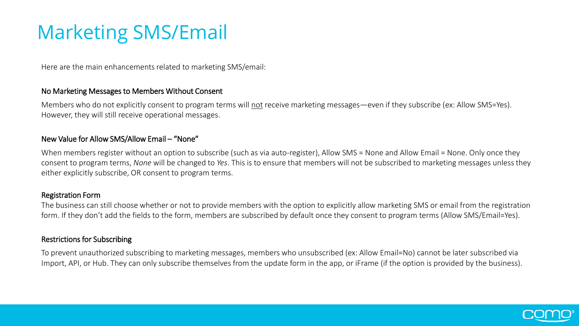### <span id="page-17-0"></span>Marketing SMS/Email

Here are the main enhancements related to marketing SMS/email:

#### No Marketing Messages to Members Without Consent

Members who do not explicitly consent to program terms will not receive marketing messages—even if they subscribe (ex: Allow SMS=Yes). However, they will still receive operational messages.

#### New Value for Allow SMS/Allow Email – "None"

When members register without an option to subscribe (such as via auto-register), Allow SMS = None and Allow Email = None. Only once they consent to program terms, *None* will be changed to *Yes*. This is to ensure that members will not be subscribed to marketing messages unless they either explicitly subscribe, OR consent to program terms.

#### Registration Form

The business can still choose whether or not to provide members with the option to explicitly allow marketing SMS or email from the registration form. If they don't add the fields to the form, members are subscribed by default once they consent to program terms (Allow SMS/Email=Yes).

#### Restrictions for Subscribing

To prevent unauthorized subscribing to marketing messages, members who unsubscribed (ex: Allow Email=No) cannot be later subscribed via Import, API, or Hub. They can only subscribe themselves from the update form in the app, or iFrame (if the option is provided by the business).

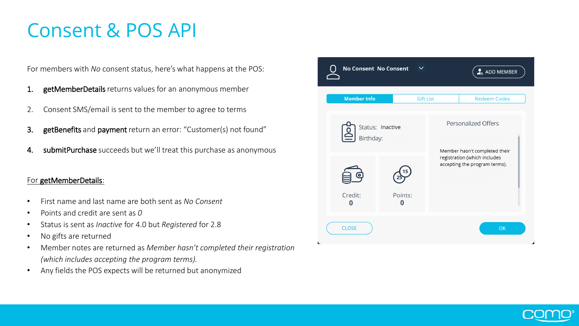### <span id="page-18-0"></span>Consent & POS API

For members with *No* consent status, here's what happens at the POS:

- 1. getMemberDetails returns values for an anonymous member
- 2. Consent SMS/email is sent to the member to agree to terms
- 3. getBenefits and payment return an error: "Customer(s) not found"
- 4. submitPurchase succeeds but we'll treat this purchase as anonymous

#### For getMemberDetails:

- First name and last name are both sent as *No Consent*
- Points and credit are sent as *0*
- Status is sent as *Inactive* for 4.0 but *Registered* for 2.8
- No gifts are returned
- Member notes are returned as *Member hasn't completed their registration (which includes accepting the program terms).*
- Any fields the POS expects will be returned but anonymized

|              | <b>No Consent No Consent</b>  |              |                  | $\frac{1}{40}$ ADD MEMBER                                     |
|--------------|-------------------------------|--------------|------------------|---------------------------------------------------------------|
|              | <b>Member Info</b>            |              | <b>Gift List</b> | <b>Redeem Codes</b>                                           |
|              | Status: Inactive<br>Birthday: |              |                  | <b>Personalized Offers</b><br>Member hasn't completed their   |
|              |                               |              |                  | registration (which includes<br>accepting the program terms). |
|              | Credit:<br>0                  | Points:<br>0 |                  |                                                               |
| <b>CLOSE</b> |                               |              |                  | OK                                                            |

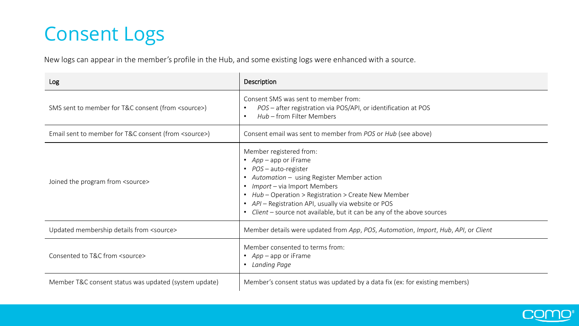### <span id="page-19-0"></span>Consent Logs

New logs can appear in the member's profile in the Hub, and some existing logs were enhanced with a source.

| Log                                                    | Description                                                                                                                                                                                                                                                                                                                                                 |
|--------------------------------------------------------|-------------------------------------------------------------------------------------------------------------------------------------------------------------------------------------------------------------------------------------------------------------------------------------------------------------------------------------------------------------|
| SMS sent to member for T&C consent (from <source/> )   | Consent SMS was sent to member from:<br>POS - after registration via POS/API, or identification at POS<br>$\bullet$<br>Hub - from Filter Members<br>$\bullet$                                                                                                                                                                                               |
| Email sent to member for T&C consent (from <source/> ) | Consent email was sent to member from POS or Hub (see above)                                                                                                                                                                                                                                                                                                |
| Joined the program from <source/>                      | Member registered from:<br>• $App$ – app or iFrame<br>• <i>POS</i> – auto-register<br>• Automation - using Register Member action<br>Import - via Import Members<br>• Hub - Operation > Registration > Create New Member<br>• API - Registration API, usually via website or POS<br>• Client – source not available, but it can be any of the above sources |
| Updated membership details from <source/>              | Member details were updated from App, POS, Automation, Import, Hub, API, or Client                                                                                                                                                                                                                                                                          |
| Consented to T&C from <source/>                        | Member consented to terms from:<br>• $App$ – app or iFrame<br>Landing Page<br>$\bullet$                                                                                                                                                                                                                                                                     |
| Member T&C consent status was updated (system update)  | Member's consent status was updated by a data fix (ex: for existing members)                                                                                                                                                                                                                                                                                |

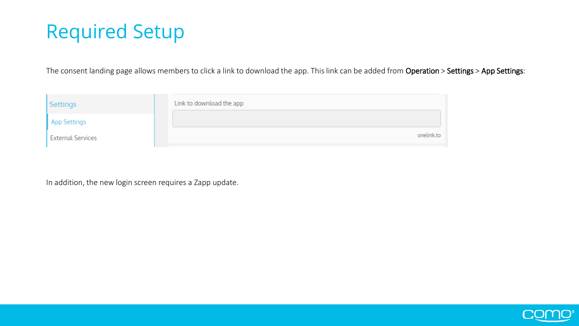### <span id="page-20-0"></span>Required Setup

The consent landing page allows members to click a link to download the app. This link can be added from Operation > Settings > App Settings:

| Settings                 | Link to download the app |
|--------------------------|--------------------------|
| App Settings             |                          |
| <b>External Services</b> | onelink.to               |

In addition, the new login screen requires a Zapp update.